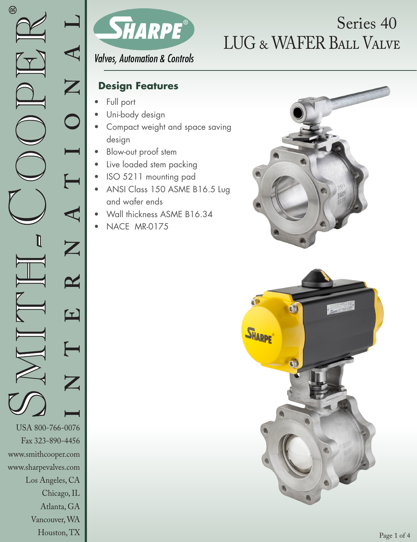

# LUG & WAFER Ball Valve Series 40

**Valves, Automation & Controls** 

### **Design Features**

- Full port
- Uni-body design
- Compact weight and space saving design
- Blow-out proof stem
- Live loaded stem packing
- ISO 5211 mounting pad
- ANSI Class 150 ASME B16.5 Lug and wafer ends
- Wall thickness ASME B16.34
- NACE MR-0175



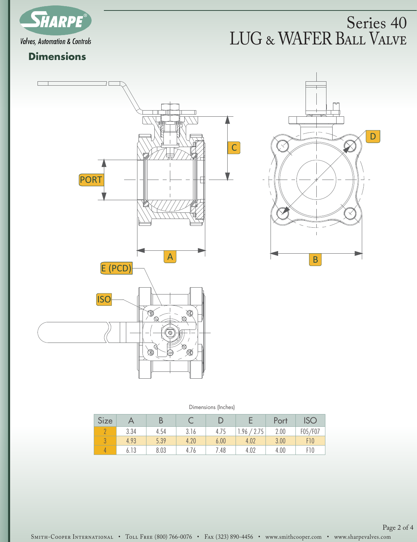

## LUG & WAFER BALL VALVE Series 40

### **Dimensions**



Dimensions (Inches)

| Size |      |      |      |      |             | Port | <b>ISC</b> |
|------|------|------|------|------|-------------|------|------------|
|      | 3.34 | 4.54 | 3.16 | 4.75 | 1.96 / 2.75 | 2.00 | F05/F07    |
|      | 4.93 | 5.39 | 4.20 | 6.00 | 4.02        | 3.00 | F10        |
|      | 6.13 | 8.03 | 4.76 | 7.48 | 4.02        | 4.00 | F10        |

SMITH-COOPER INTERNATIONAL • TOLL FREE (800) 766-0076 • FAx (323) 890-4456 • www.smithcooper.com • www.sharpevalves.com Page 2 of 4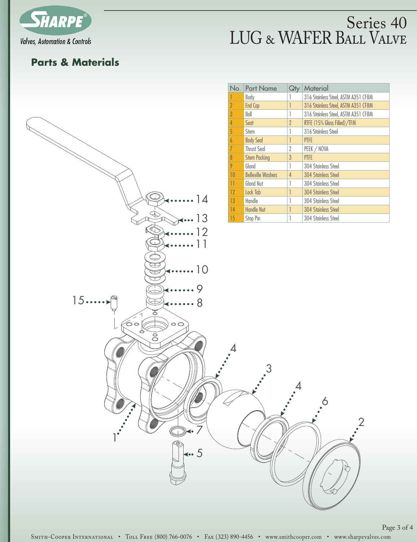

### LUG & WAFER Ball Valve Series 40

#### **Parts & Materials**